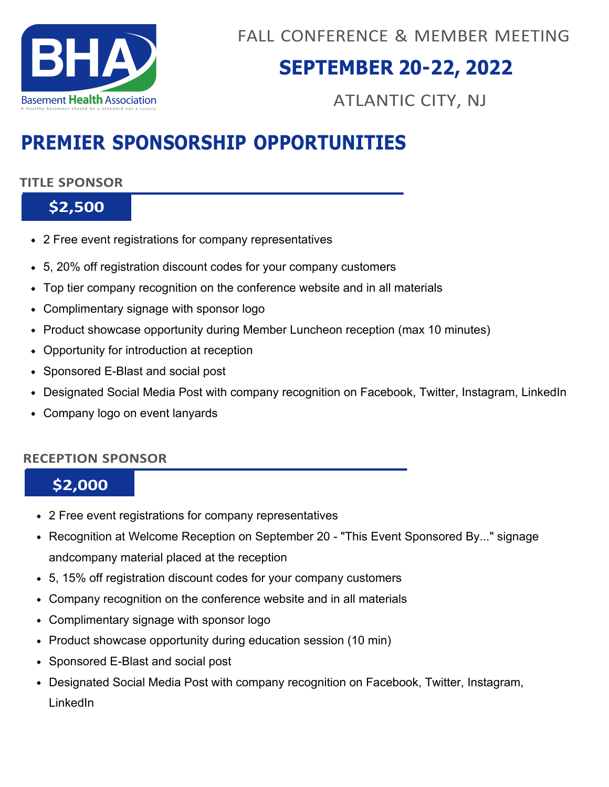

## **SEPTEMBER 20-22, 2022**

ATLANTIC CITY, NJ

## **PREMIER SPONSORSHIP OPPORTUNITIES**

#### **TITLE SPONSOR**

### **\$2,500**

- 2 Free event registrations for company representatives
- 5, 20% off registration discount codes for your company customers
- Top tier company recognition on the conference website and in all materials
- Complimentary signage with sponsor logo
- Product showcase opportunity during Member Luncheon reception (max 10 minutes)
- Opportunity for introduction at reception
- Sponsored E-Blast and social post
- Designated Social Media Post with company recognition on Facebook, Twitter, Instagram, LinkedIn
- Company logo on event lanyards

#### **RECEPTION SPONSOR**

### **\$2,000**

- 2 Free event registrations for company representatives
- Recognition at Welcome Reception on September 20 "This Event Sponsored By..." signage andcompany material placed at the reception
- 5, 15% off registration discount codes for your company customers
- Company recognition on the conference website and in all materials
- Complimentary signage with sponsor logo
- Product showcase opportunity during education session (10 min)
- Sponsored E-Blast and social post
- Designated Social Media Post with company recognition on Facebook, Twitter, Instagram, LinkedIn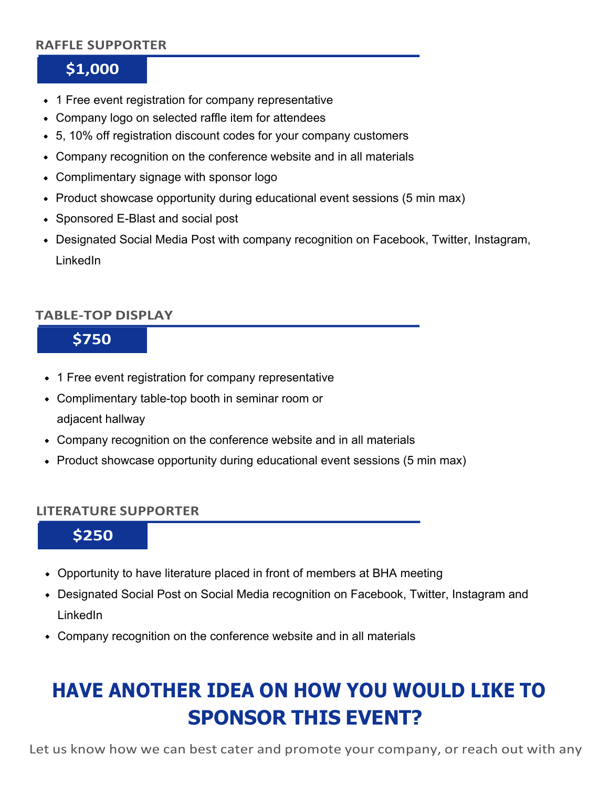#### **RAFFLE SUPPORTER**

### **\$1,000**

- 1 Free event registration for company representative
- Company logo on selected raffle item for attendees
- 5, 10% off registration discount codes for your company customers
- Company recognition on the conference website and in all materials
- Complimentary signage with sponsor logo
- Product showcase opportunity during educational event sessions (5 min max)
- Sponsored E-Blast and social post
- Designated Social Media Post with company recognition on Facebook, Twitter, Instagram, LinkedIn

#### **TABLE-TOP DISPLAY**

## **\$750**

- 1 Free event registration for company representative
- Complimentary table-top booth in seminar room or adjacent hallway
- Company recognition on the conference website and in all materials
- Product showcase opportunity during educational event sessions (5 min max)

#### **LITERATURE SUPPORTER**

**\$250**

- Opportunity to have literature placed in front of members at BHA meeting
- Designated Social Post on Social Media recognition on Facebook, Twitter, Instagram and LinkedIn
- Company recognition on the conference website and in all materials

# **HAVE ANOTHER IDEA ON HOW YOU WOULD LIKE TO SPONSOR THIS EVENT?**

Let us know how we can best cater and promote your company, or reach out with any